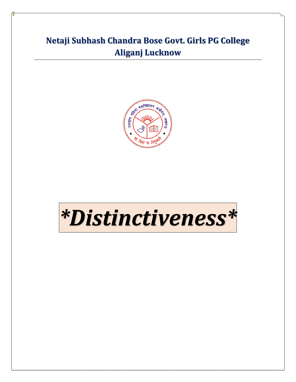## **Netaji Subhash Chandra Bose Govt. Girls PG College Aliganj Lucknow**